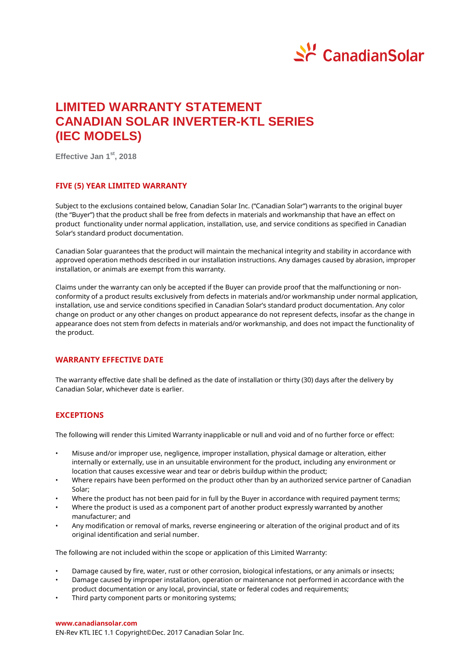

# **LIMITED WARRANTY STATEMENT CANADIAN SOLAR INVERTER-KTL SERIES (IEC MODELS)**

**Effective Jan 1 st, 2018**

### **FIVE (5) YEAR LIMITED WARRANTY**

Subject to the exclusions contained below, Canadian Solar Inc. ("Canadian Solar") warrants to the original buyer (the "Buyer") that the product shall be free from defects in materials and workmanship that have an effect on product functionality under normal application, installation, use, and service conditions as specified in Canadian Solar's standard product documentation.

Canadian Solar guarantees that the product will maintain the mechanical integrity and stability in accordance with approved operation methods described in our installation instructions. Any damages caused by abrasion, improper installation, or animals are exempt from this warranty.

Claims under the warranty can only be accepted if the Buyer can provide proof that the malfunctioning or nonconformity of a product results exclusively from defects in materials and/or workmanship under normal application, installation, use and service conditions specified in Canadian Solar's standard product documentation. Any color change on product or any other changes on product appearance do not represent defects, insofar as the change in appearance does not stem from defects in materials and/or workmanship, and does not impact the functionality of the product.

#### **WARRANTY EFFECTIVE DATE**

The warranty effective date shall be defined as the date of installation or thirty (30) days after the delivery by Canadian Solar, whichever date is earlier.

# **EXCEPTIONS**

The following will render this Limited Warranty inapplicable or null and void and of no further force or effect:

- Misuse and/or improper use, negligence, improper installation, physical damage or alteration, either internally or externally, use in an unsuitable environment for the product, including any environment or location that causes excessive wear and tear or debris buildup within the product;
- Where repairs have been performed on the product other than by an authorized service partner of Canadian Solar;
- Where the product has not been paid for in full by the Buyer in accordance with required payment terms;
- Where the product is used as a component part of another product expressly warranted by another manufacturer; and
- Any modification or removal of marks, reverse engineering or alteration of the original product and of its original identification and serial number.

The following are not included within the scope or application of this Limited Warranty:

- Damage caused by fire, water, rust or other corrosion, biological infestations, or any animals or insects;
- Damage caused by improper installation, operation or maintenance not performed in accordance with the product documentation or any local, provincial, state or federal codes and requirements;
- Third party component parts or monitoring systems:

#### **www.canadiansolar.com**

EN-Rev KTL IEC 1.1 Copyright© Dec. 2017 Canadian Solar Inc.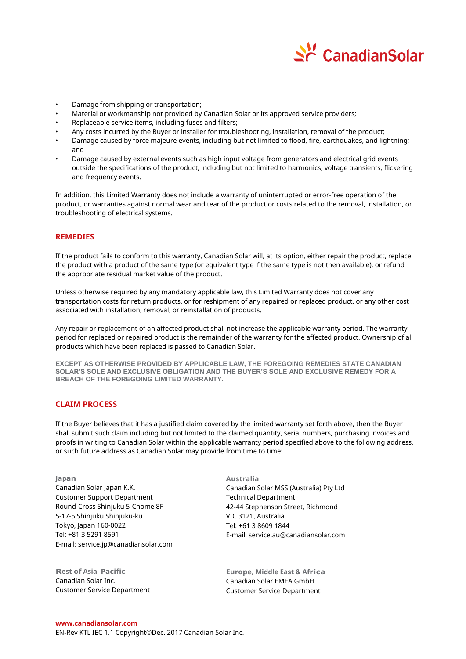

- Damage from shipping or transportation;
- Material or workmanship not provided by Canadian Solar or its approved service providers;
- Replaceable service items, including fuses and filters;
- Any costs incurred by the Buyer or installer for troubleshooting, installation, removal of the product;
- Damage caused by force majeure events, including but not limited to flood, fire, earthquakes, and lightning; and
- Damage caused by external events such as high input voltage from generators and electrical grid events outside the specifications of the product, including but not limited to harmonics, voltage transients, flickering and frequency events.

In addition, this Limited Warranty does not include a warranty of uninterrupted or error-free operation of the product, or warranties against normal wear and tear of the product or costs related to the removal, installation, or troubleshooting of electrical systems.

#### **REMEDIES**

If the product fails to conform to this warranty, Canadian Solar will, at its option, either repair the product, replace the product with a product of the same type (or equivalent type if the same type is not then available), or refund the appropriate residual market value of the product.

Unless otherwise required by any mandatory applicable law, this Limited Warranty does not cover any transportation costs for return products, or for reshipment of any repaired or replaced product, or any other cost associated with installation, removal, or reinstallation of products.

Any repair or replacement of an affected product shall not increase the applicable warranty period. The warranty period for replaced or repaired product is the remainder of the warranty for the affected product. Ownership of all products which have been replaced is passed to Canadian Solar.

**EXCEPT AS OTHERWISE PROVIDED BY APPLICABLE LAW, THE FOREGOING REMEDIES STATE CANADIAN SOLAR'S SOLE AND EXCLUSIVE OBLIGATION AND THE BUYER'S SOLE AND EXCLUSIVE REMEDY FOR A BREACH OF THE FOREGOING LIMITED WARRANTY.**

#### **CLAIM PROCESS**

If the Buyer believes that it has a justified claim covered by the limited warranty set forth above, then the Buyer shall submit such claim including but not limited to the claimed quantity, serial numbers, purchasing invoices and proofs in writing to Canadian Solar within the applicable warranty period specified above to the following address, or such future address as Canadian Solar may provide from time to time:

**Japan** Canadian Solar Japan K.K. Customer Support Department Round-Cross Shinjuku 5-Chome 8F 5-17-5 Shinjuku Shinjuku-ku Tokyo, Japan 160-0022 Tel: +81 3 5291 8591 E-mail: service.jp@canadiansolar.com

**Rest of Asia Pacific** Canadian Solar Inc. Customer Service Department **Australia** Canadian Solar MSS (Australia) Pty Ltd Technical Department 42-44 Stephenson Street, Richmond VIC 3121, Australia Tel: +61 3 8609 1844 E-mail: service.au@canadiansolar.com

**Europe, Middle East & Africa**  Canadian Solar EMEA GmbH Customer Service Department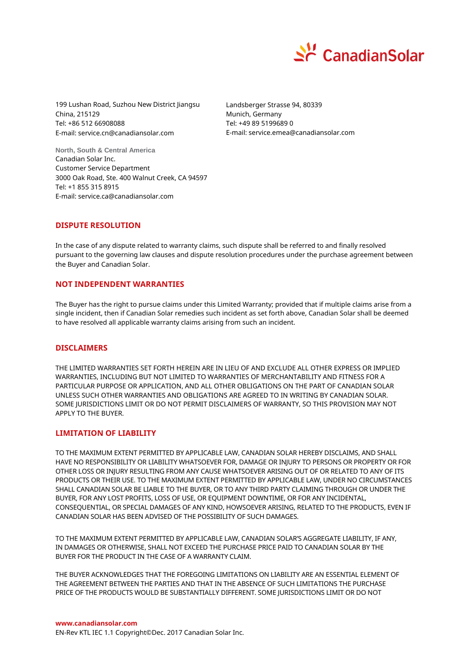

199 Lushan Road, Suzhou New District Jiangsu China, 215129 Tel: +86 512 66908088 E-mail: service.cn@canadiansolar.com

Landsberger Strasse 94, 80339 Munich, Germany Tel: +49 89 5199689 0 E-mail: service.emea@canadiansolar.com

**North, South & Central America** Canadian Solar Inc. Customer Service Department 3000 Oak Road, Ste. 400 Walnut Creek, CA 94597 Tel: +1 855 315 8915 E-mail: service.ca@canadiansolar.com

# **DISPUTE RESOLUTION**

In the case of any dispute related to warranty claims, such dispute shall be referred to and finally resolved pursuant to the governing law clauses and dispute resolution procedures under the purchase agreement between the Buyer and Canadian Solar.

### **NOT INDEPENDENT WARRANTIES**

The Buyer has the right to pursue claims under this Limited Warranty; provided that if multiple claims arise from a single incident, then if Canadian Solar remedies such incident as set forth above, Canadian Solar shall be deemed to have resolved all applicable warranty claims arising from such an incident.

# **DISCLAIMERS**

THE LIMITED WARRANTIES SET FORTH HEREIN ARE IN LIEU OF AND EXCLUDE ALL OTHER EXPRESS OR IMPLIED WARRANTIES, INCLUDING BUT NOT LIMITED TO WARRANTIES OF MERCHANTABILITY AND FITNESS FOR A PARTICULAR PURPOSE OR APPLICATION, AND ALL OTHER OBLIGATIONS ON THE PART OF CANADIAN SOLAR UNLESS SUCH OTHER WARRANTIES AND OBLIGATIONS ARE AGREED TO IN WRITING BY CANADIAN SOLAR. SOME JURISDICTIONS LIMIT OR DO NOT PERMIT DISCLAIMERS OF WARRANTY, SO THIS PROVISION MAY NOT APPLY TO THE BUYER.

#### **LIMITATION OF LIABILITY**

TO THE MAXIMUM EXTENT PERMITTED BY APPLICABLE LAW, CANADIAN SOLAR HEREBY DISCLAIMS, AND SHALL HAVE NO RESPONSIBILITY OR LIABILITY WHATSOEVER FOR, DAMAGE OR INJURY TO PERSONS OR PROPERTY OR FOR OTHER LOSS OR INJURY RESULTING FROM ANY CAUSE WHATSOEVER ARISING OUT OF OR RELATED TO ANY OF ITS PRODUCTS OR THEIR USE. TO THE MAXIMUM EXTENT PERMITTED BY APPLICABLE LAW, UNDER NO CIRCUMSTANCES SHALL CANADIAN SOLAR BE LIABLE TO THE BUYER, OR TO ANY THIRD PARTY CLAIMING THROUGH OR UNDER THE BUYER, FOR ANY LOST PROFITS, LOSS OF USE, OR EQUIPMENT DOWNTIME, OR FOR ANY INCIDENTAL, CONSEQUENTIAL, OR SPECIAL DAMAGES OF ANY KIND, HOWSOEVER ARISING, RELATED TO THE PRODUCTS, EVEN IF CANADIAN SOLAR HAS BEEN ADVISED OF THE POSSIBILITY OF SUCH DAMAGES.

TO THE MAXIMUM EXTENT PERMITTED BY APPLICABLE LAW, CANADIAN SOLAR'S AGGREGATE LIABILITY, IF ANY, IN DAMAGES OR OTHERWISE, SHALL NOT EXCEED THE PURCHASE PRICE PAID TO CANADIAN SOLAR BY THE BUYER FOR THE PRODUCT IN THE CASE OF A WARRANTY CLAIM.

THE BUYER ACKNOWLEDGES THAT THE FOREGOING LIMITATIONS ON LIABILITY ARE AN ESSENTIAL ELEMENT OF THE AGREEMENT BETWEEN THE PARTIES AND THAT IN THE ABSENCE OF SUCH LIMITATIONS THE PURCHASE PRICE OF THE PRODUCTS WOULD BE SUBSTANTIALLY DIFFERENT. SOME JURISDICTIONS LIMIT OR DO NOT